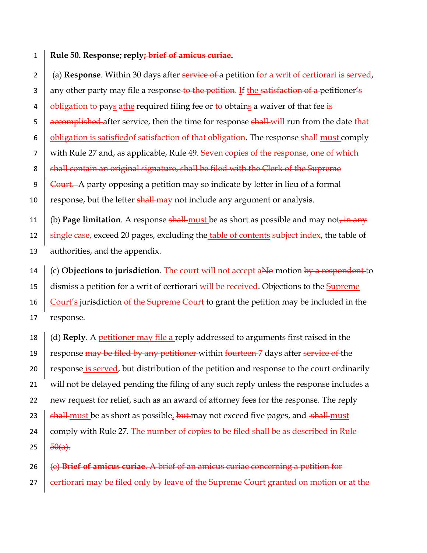## 1 **Rule 50. Response; reply; brief of amicus curiae.**

2 (a) **Response**. Within 30 days after service of a petition for a writ of certiorari is served, 3 any other party may file a response to the petition. If the satisfaction of a petitioner's 4 **b** obligation to pays athe required filing fee or to obtains a waiver of that fee is 5 **accomplished** after service, then the time for response shall will run from the date that 6  $\Box$  obligation is satisfied of satisfaction of that obligation. The response shall must comply 7 with Rule 27 and, as applicable, Rule 49. Seven copies of the response, one of which 8 Shall contain an original signature, shall be filed with the Clerk of the Supreme 9 **Court.** A party opposing a petition may so indicate by letter in lieu of a formal 10  $\parallel$  response, but the letter shall-may not include any argument or analysis. 11 (b) **Page limitation**. A response shall-must be as short as possible and may not, in any 12  $\frac{1}{2}$  single case, exceed 20 pages, excluding the table of contents subject index, the table of 13 authorities, and the appendix. 14 (c) **Objections to jurisdiction**. The court will not accept aNo motion by a respondent to

15  $\parallel$  dismiss a petition for a writ of certiorari-will be received. Objections to the Supreme 16  $\overline{C}$  Court's jurisdiction of the Supreme Court to grant the petition may be included in the 17 response.

 (d) **Reply**. A petitioner may file a reply addressed to arguments first raised in the  $\parallel$  response may be filed by any petitioner within fourteen  $\frac{7}{2}$  days after service of the 20 response is served, but distribution of the petition and response to the court ordinarily will not be delayed pending the filing of any such reply unless the response includes a new request for relief, such as an award of attorney fees for the response. The reply  $\frac{1}{2}$  shall-must be as short as possible, but may not exceed five pages, and shall-must  $\mid$  comply with Rule 27. The number of copies to be filed shall be as described in Rule 25  $50(a)$ .

26 (e) **Brief of amicus curiae**. A brief of an amicus curiae concerning a petition for 27  $\vert$  certiorari may be filed only by leave of the Supreme Court granted on motion or at the